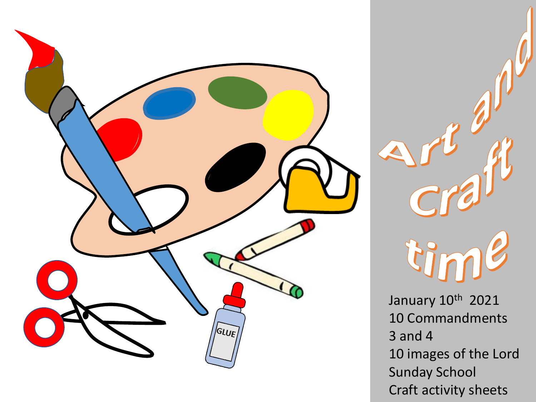



January 10th 2021 10 Commandments 3 and 4 10 images of the Lord Sunday School Craft activity sheets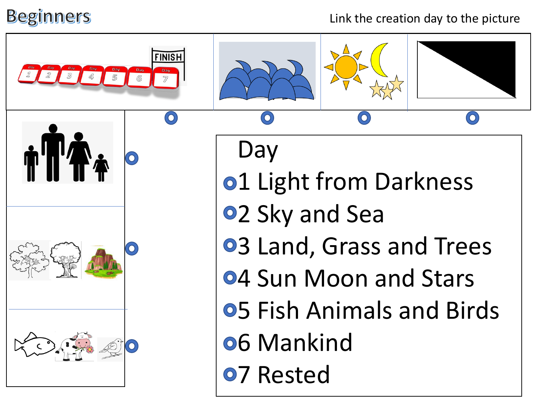## **Beginners**

## Link the creation day to the picture

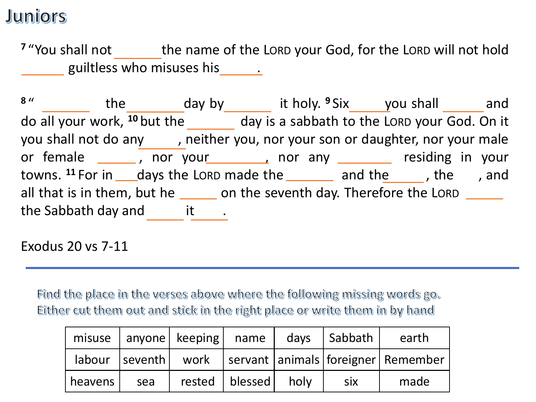## **Juniors**

<sup>7</sup> "You shall not the name of the LORD your God, for the LORD will not hold anyone guiltless who misuses his  $\overline{\phantom{a}}$  .

<sup>8</sup> "Lemew the Sabbath day by Lemew it holy. <sup>9</sup> Six you shall sand do all your work, <sup>10</sup> but the seventh day is a sabbath to the LORD your God. On it you shall not do any extingler you, nor your son or daughter, nor your male or female \_\_\_\_\_\_, nor your \_\_\_\_\_\_\_, nor any \_\_\_\_\_\_\_ residing in your towns. <sup>11</sup> For in \_\_\_\_days the LORD made the \_\_\_\_\_\_\_\_\_ and the \_\_\_\_\_\_, the sea, and all that is in them, but he **contact on the seventh day. Therefore the LORD contact on the Seventh** the Sabbath day and  $\qquad$  it  $\qquad$ .

Exodus 20 vs 7-11

Find the place in the verses above where the following missing words go. Either cut them out and stick in the right place or write them in by hand

|         |     | misuse   anyone   keeping   name |                         | days | Sabbath    | earth                                                              |
|---------|-----|----------------------------------|-------------------------|------|------------|--------------------------------------------------------------------|
|         |     |                                  |                         |      |            | labour   seventh   work   servant   animals   foreigner   Remember |
| heavens | sea |                                  | rested   blessed   holy |      | <b>SIX</b> | made                                                               |